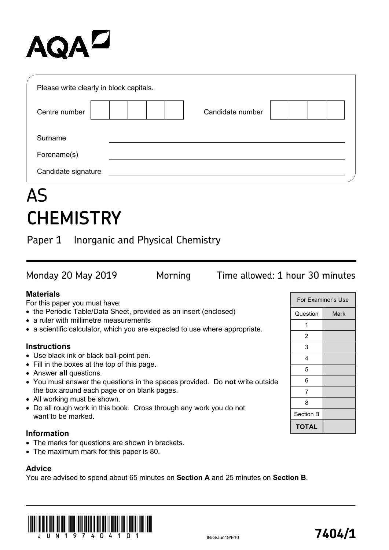# AQA<sup>D</sup>

| Please write clearly in block capitals. |                  |  |
|-----------------------------------------|------------------|--|
| Centre number                           | Candidate number |  |
| Surname                                 |                  |  |
| Forename(s)                             |                  |  |
| Candidate signature                     |                  |  |

# AS **CHEMISTRY**

Paper 1 Inorganic and Physical Chemistry

For Examiner's Use Question | Mark Monday 20 May 2019 Morning Time allowed: 1 hour 30 minutes **Materials** For this paper you must have: • the Periodic Table/Data Sheet, provided as an insert (enclosed) • a ruler with millimetre measurements

• a scientific calculator, which you are expected to use where appropriate.

#### **Instructions**

- Use black ink or black ball-point pen.
- Fill in the boxes at the top of this page.
- Answer **all** questions.
- You must answer the questions in the spaces provided. Do **not** write outside the box around each page or on blank pages.
- All working must be shown.
- Do all rough work in this book. Cross through any work you do not want to be marked.

### **Information**

- The marks for questions are shown in brackets.
- The maximum mark for this paper is 80.

### **Advice**

You are advised to spend about 65 minutes on **Section A** and 25 minutes on **Section B**.



| For Examiner's Use |      |
|--------------------|------|
| Question           | Mark |
| 1                  |      |
| 2                  |      |
| 3                  |      |
| 4                  |      |
| 5                  |      |
| 6                  |      |
| 7                  |      |
| 8                  |      |
| Section B          |      |
| <b>TOTAL</b>       |      |

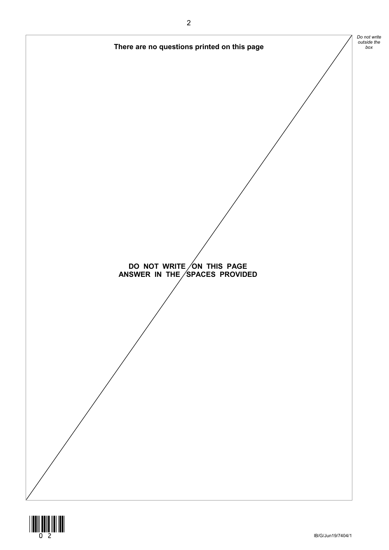

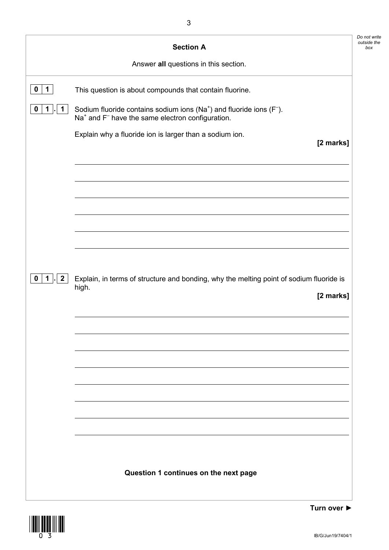|              | Answer all questions in this section.                                                                                                                  |
|--------------|--------------------------------------------------------------------------------------------------------------------------------------------------------|
| 1            | This question is about compounds that contain fluorine.                                                                                                |
| 1            | Sodium fluoride contains sodium ions ( $Na+$ ) and fluoride ions ( $F-$ ).<br>Na <sup>+</sup> and F <sup>-</sup> have the same electron configuration. |
|              | Explain why a fluoride ion is larger than a sodium ion.<br>[2 marks]                                                                                   |
|              |                                                                                                                                                        |
|              |                                                                                                                                                        |
|              |                                                                                                                                                        |
|              |                                                                                                                                                        |
| $\mathbf{2}$ |                                                                                                                                                        |
|              | Explain, in terms of structure and bonding, why the melting point of sodium fluoride is<br>high.<br>[2 marks]                                          |
|              |                                                                                                                                                        |
|              |                                                                                                                                                        |
|              |                                                                                                                                                        |
|              |                                                                                                                                                        |
|              |                                                                                                                                                        |
|              |                                                                                                                                                        |



**Turn over ►**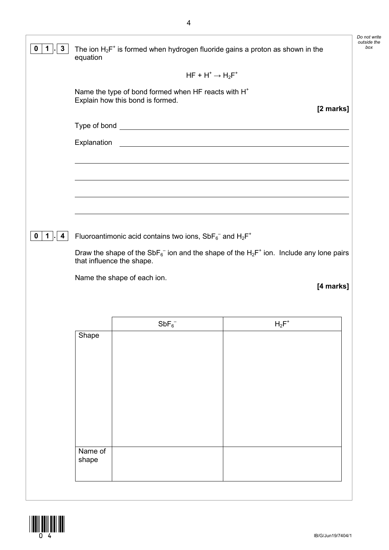| $\mathbf{3}$<br>$\mathbf 0$<br>1 | equation                                                 | The ion $H_2F^+$ is formed when hydrogen fluoride gains a proton as shown in the                                                                                                                         |          |           | Do not write<br>outside the<br>box |
|----------------------------------|----------------------------------------------------------|----------------------------------------------------------------------------------------------------------------------------------------------------------------------------------------------------------|----------|-----------|------------------------------------|
|                                  |                                                          | $HF + H^+ \rightarrow H_2F^+$                                                                                                                                                                            |          |           |                                    |
|                                  |                                                          | Name the type of bond formed when HF reacts with H <sup>+</sup><br>Explain how this bond is formed.                                                                                                      |          |           |                                    |
|                                  |                                                          |                                                                                                                                                                                                          |          | [2 marks] |                                    |
|                                  | Explanation                                              | <u> 1989 - Johann Harry Harry Harry Harry Harry Harry Harry Harry Harry Harry Harry Harry Harry Harry Harry Harry</u>                                                                                    |          |           |                                    |
|                                  |                                                          |                                                                                                                                                                                                          |          |           |                                    |
|                                  |                                                          |                                                                                                                                                                                                          |          |           |                                    |
|                                  |                                                          |                                                                                                                                                                                                          |          |           |                                    |
|                                  |                                                          |                                                                                                                                                                                                          |          |           |                                    |
|                                  |                                                          |                                                                                                                                                                                                          |          |           |                                    |
| 1<br>4                           |                                                          |                                                                                                                                                                                                          |          |           |                                    |
|                                  |                                                          | Fluoroantimonic acid contains two ions, $SbF_6^-$ and $H_2F^+$<br>Draw the shape of the SbF <sub>6</sub> <sup>-</sup> ion and the shape of the H <sub>2</sub> F <sup>+</sup> ion. Include any lone pairs |          |           |                                    |
|                                  | that influence the shape.<br>Name the shape of each ion. |                                                                                                                                                                                                          |          | [4 marks] |                                    |
|                                  |                                                          | $SbF_6^-$                                                                                                                                                                                                | $H_2F^+$ |           |                                    |
|                                  | Shape                                                    |                                                                                                                                                                                                          |          |           |                                    |
|                                  |                                                          |                                                                                                                                                                                                          |          |           |                                    |
|                                  |                                                          |                                                                                                                                                                                                          |          |           |                                    |
|                                  |                                                          |                                                                                                                                                                                                          |          |           |                                    |
|                                  |                                                          |                                                                                                                                                                                                          |          |           |                                    |
|                                  |                                                          |                                                                                                                                                                                                          |          |           |                                    |
| 0                                | Name of<br>shape                                         |                                                                                                                                                                                                          |          |           |                                    |

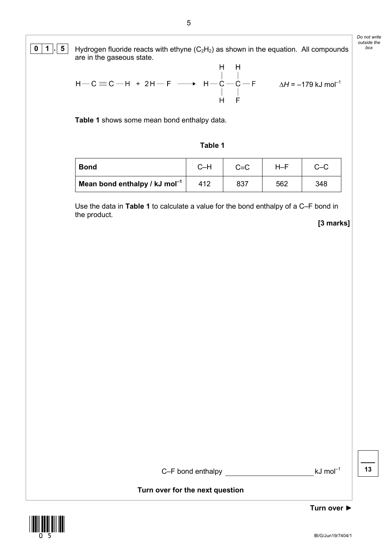## *Do not write*   $0$  | 1  $\vert$  **.**  $\vert$  5  $\vert$  Hydrogen fluoride reacts with ethyne (C<sub>2</sub>H<sub>2</sub>) as shown in the equation. All compounds  $\vert$  box

*outside the* 

are in the gaseous state.  
\nH H  
\nH-C 
$$
\equiv
$$
C-H + 2H-F  $\longrightarrow$  H-C-C-F  $\Delta$ H = -179 kJ mol<sup>-1</sup>  
\nH F

**Table 1** shows some mean bond enthalpy data.

#### **Table 1**

| <b>Bond</b>                                 | C–H | $C = C$ | H–F |     |
|---------------------------------------------|-----|---------|-----|-----|
| Mean bond enthalpy / $kJ$ mol <sup>-1</sup> | 412 | 837     | 562 | 348 |

Use the data in **Table 1** to calculate a value for the bond enthalpy of a C–F bond in the product.

**[3 marks]**

C–F bond enthalpy kJ mol–1

**13**

**Turn over for the next question**

\*05\*

IB/G/Jun19/7404/1

**Turn over ►**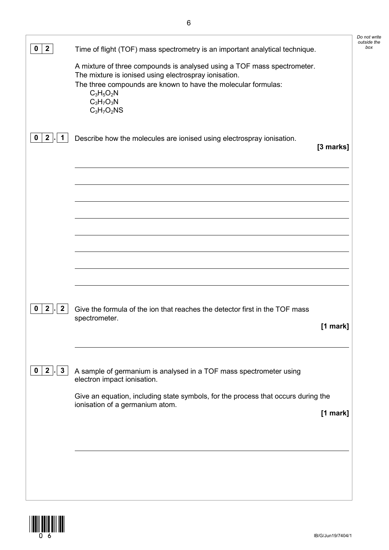| A mixture of three compounds is analysed using a TOF mass spectrometer.<br>The mixture is ionised using electrospray ionisation.<br>The three compounds are known to have the molecular formulas:<br>$C_3H_5O_2N$<br>$C_3H_7O_3N$<br>$C_3H_7O_2NS$<br>2 <sup>1</sup><br>$\mathbf 1$<br>Describe how the molecules are ionised using electrospray ionisation.<br>0<br>[3 marks]<br>2 <sub>1</sub><br>$\mathbf{2}$<br>Give the formula of the ion that reaches the detector first in the TOF mass<br>0<br>spectrometer.<br>[1 mark]<br>$\overline{2}$<br>$\mathbf{3}$<br>$\mathbf 0$<br>A sample of germanium is analysed in a TOF mass spectrometer using<br>electron impact ionisation.<br>Give an equation, including state symbols, for the process that occurs during the<br>ionisation of a germanium atom.<br>[1 mark] | $\mathbf{2}$ | Time of flight (TOF) mass spectrometry is an important analytical technique. | Do not write<br>outside the |
|-----------------------------------------------------------------------------------------------------------------------------------------------------------------------------------------------------------------------------------------------------------------------------------------------------------------------------------------------------------------------------------------------------------------------------------------------------------------------------------------------------------------------------------------------------------------------------------------------------------------------------------------------------------------------------------------------------------------------------------------------------------------------------------------------------------------------------|--------------|------------------------------------------------------------------------------|-----------------------------|
|                                                                                                                                                                                                                                                                                                                                                                                                                                                                                                                                                                                                                                                                                                                                                                                                                             |              |                                                                              |                             |
|                                                                                                                                                                                                                                                                                                                                                                                                                                                                                                                                                                                                                                                                                                                                                                                                                             |              |                                                                              |                             |
|                                                                                                                                                                                                                                                                                                                                                                                                                                                                                                                                                                                                                                                                                                                                                                                                                             |              |                                                                              |                             |
|                                                                                                                                                                                                                                                                                                                                                                                                                                                                                                                                                                                                                                                                                                                                                                                                                             |              |                                                                              |                             |
|                                                                                                                                                                                                                                                                                                                                                                                                                                                                                                                                                                                                                                                                                                                                                                                                                             |              |                                                                              |                             |
|                                                                                                                                                                                                                                                                                                                                                                                                                                                                                                                                                                                                                                                                                                                                                                                                                             |              |                                                                              |                             |
|                                                                                                                                                                                                                                                                                                                                                                                                                                                                                                                                                                                                                                                                                                                                                                                                                             |              |                                                                              |                             |
|                                                                                                                                                                                                                                                                                                                                                                                                                                                                                                                                                                                                                                                                                                                                                                                                                             |              |                                                                              |                             |
|                                                                                                                                                                                                                                                                                                                                                                                                                                                                                                                                                                                                                                                                                                                                                                                                                             |              |                                                                              |                             |
|                                                                                                                                                                                                                                                                                                                                                                                                                                                                                                                                                                                                                                                                                                                                                                                                                             |              |                                                                              |                             |

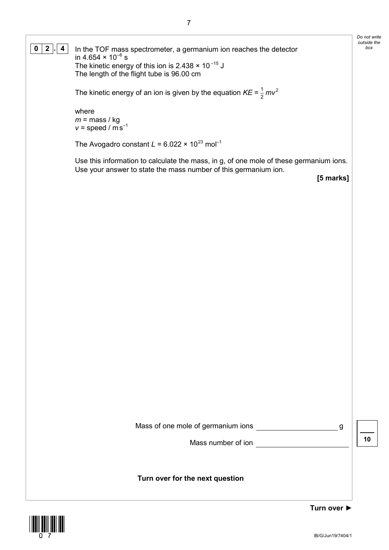**0** | **2**  $\vert$ **.** | **4** | In the TOF mass spectrometer, a germanium ion reaches the detector  $\vert$  box in 4.654  $\times$  10 $^{-6}$  s The kinetic energy of this ion is  $2.438 \times 10^{-15}$  J The length of the flight tube is 96.00 cm

The kinetic energy of an ion is given by the equation  $KE = \frac{1}{2}mv^2$ 

where  $m =$  mass / kg  $v =$  speed /  $\overline{m}$  s<sup>-1</sup>

The Avogadro constant  $L = 6.022 \times 10^{23}$  mol<sup>-1</sup>

Use this information to calculate the mass, in g, of one mole of these germanium ions. Use your answer to state the mass number of this germanium ion.

**[5 marks]**

*Do not write outside the* 

| Mass of one mole of germanium ions |  |
|------------------------------------|--|
| Mass number of ion                 |  |

**10**

**Turn over for the next question**

**Turn over ►**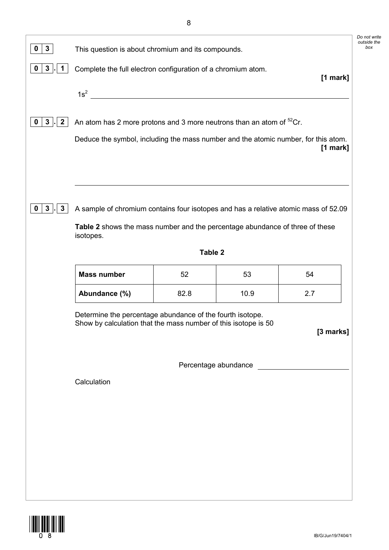|                    |      |      | [1 mark]                                                                                                                                                                                                                                                                                                                                                                                                                                                                                                                                                                                                                              |
|--------------------|------|------|---------------------------------------------------------------------------------------------------------------------------------------------------------------------------------------------------------------------------------------------------------------------------------------------------------------------------------------------------------------------------------------------------------------------------------------------------------------------------------------------------------------------------------------------------------------------------------------------------------------------------------------|
| $1s^2$             |      |      |                                                                                                                                                                                                                                                                                                                                                                                                                                                                                                                                                                                                                                       |
|                    |      |      |                                                                                                                                                                                                                                                                                                                                                                                                                                                                                                                                                                                                                                       |
|                    |      |      | $[1$ mark]                                                                                                                                                                                                                                                                                                                                                                                                                                                                                                                                                                                                                            |
|                    |      |      |                                                                                                                                                                                                                                                                                                                                                                                                                                                                                                                                                                                                                                       |
|                    |      |      |                                                                                                                                                                                                                                                                                                                                                                                                                                                                                                                                                                                                                                       |
|                    |      |      |                                                                                                                                                                                                                                                                                                                                                                                                                                                                                                                                                                                                                                       |
| isotopes.          |      |      |                                                                                                                                                                                                                                                                                                                                                                                                                                                                                                                                                                                                                                       |
|                    |      |      |                                                                                                                                                                                                                                                                                                                                                                                                                                                                                                                                                                                                                                       |
| <b>Mass number</b> | 52   | 53   | 54                                                                                                                                                                                                                                                                                                                                                                                                                                                                                                                                                                                                                                    |
| Abundance (%)      | 82.8 | 10.9 | 2.7                                                                                                                                                                                                                                                                                                                                                                                                                                                                                                                                                                                                                                   |
|                    |      |      |                                                                                                                                                                                                                                                                                                                                                                                                                                                                                                                                                                                                                                       |
|                    |      |      | [3 marks]                                                                                                                                                                                                                                                                                                                                                                                                                                                                                                                                                                                                                             |
|                    |      |      |                                                                                                                                                                                                                                                                                                                                                                                                                                                                                                                                                                                                                                       |
| Calculation        |      |      |                                                                                                                                                                                                                                                                                                                                                                                                                                                                                                                                                                                                                                       |
|                    |      |      |                                                                                                                                                                                                                                                                                                                                                                                                                                                                                                                                                                                                                                       |
|                    |      |      |                                                                                                                                                                                                                                                                                                                                                                                                                                                                                                                                                                                                                                       |
|                    |      |      |                                                                                                                                                                                                                                                                                                                                                                                                                                                                                                                                                                                                                                       |
|                    |      |      |                                                                                                                                                                                                                                                                                                                                                                                                                                                                                                                                                                                                                                       |
|                    |      |      |                                                                                                                                                                                                                                                                                                                                                                                                                                                                                                                                                                                                                                       |
|                    |      |      | This question is about chromium and its compounds.<br>Complete the full electron configuration of a chromium atom.<br>An atom has 2 more protons and 3 more neutrons than an atom of <sup>52</sup> Cr.<br>Deduce the symbol, including the mass number and the atomic number, for this atom.<br>A sample of chromium contains four isotopes and has a relative atomic mass of 52.09<br>Table 2 shows the mass number and the percentage abundance of three of these<br>Table 2<br>Determine the percentage abundance of the fourth isotope.<br>Show by calculation that the mass number of this isotope is 50<br>Percentage abundance |



*Do not write outside the*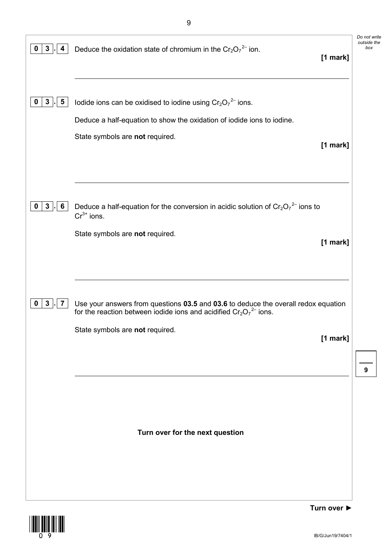| $\mathbf{3}$<br>$\mathbf 0$<br>4             | Deduce the oxidation state of chromium in the $Cr_2O_7^{2-}$ ion.<br>[1 mark]                                                                                                                             | Do not write<br>outside the<br>box |
|----------------------------------------------|-----------------------------------------------------------------------------------------------------------------------------------------------------------------------------------------------------------|------------------------------------|
| $\mathbf{3}$<br>$\overline{\mathbf{5}}$<br>0 | Iodide ions can be oxidised to iodine using $Cr_2O_7^2$ ions.<br>Deduce a half-equation to show the oxidation of iodide ions to iodine.<br>State symbols are not required.<br>$[1$ mark]                  |                                    |
| $3\phantom{a}$<br>6<br>$\mathbf 0$           | Deduce a half-equation for the conversion in acidic solution of $Cr_2O_7^2$ ions to<br>$Cr^{3+}$ ions.<br>State symbols are not required.<br>[1 mark]                                                     |                                    |
| $\mathbf{3}$<br>0<br>7                       | Use your answers from questions 03.5 and 03.6 to deduce the overall redox equation<br>for the reaction between iodide ions and acidified $Cr_2O_7^2$ ions.<br>State symbols are not required.<br>[1 mark] | 9                                  |
|                                              | Turn over for the next question                                                                                                                                                                           |                                    |

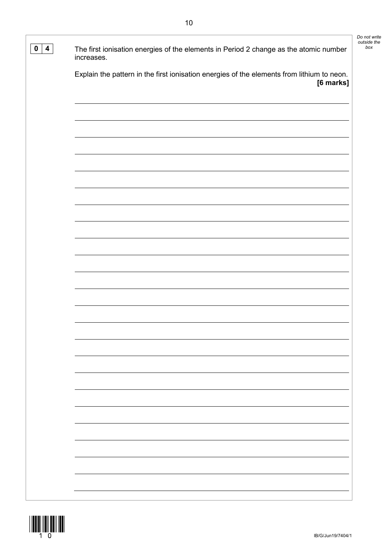| The first ionisation energies of the elements in Period 2 change as the atomic number<br>increases.<br>Explain the pattern in the first ionisation energies of the elements from lithium to neon.<br>[6 marks] |                         | Do not write       |
|----------------------------------------------------------------------------------------------------------------------------------------------------------------------------------------------------------------|-------------------------|--------------------|
|                                                                                                                                                                                                                | $\overline{\mathbf{4}}$ | outside the<br>box |
|                                                                                                                                                                                                                |                         |                    |
|                                                                                                                                                                                                                |                         |                    |
|                                                                                                                                                                                                                |                         |                    |
|                                                                                                                                                                                                                |                         |                    |
|                                                                                                                                                                                                                |                         |                    |
|                                                                                                                                                                                                                |                         |                    |
|                                                                                                                                                                                                                |                         |                    |
|                                                                                                                                                                                                                |                         |                    |
|                                                                                                                                                                                                                |                         |                    |
|                                                                                                                                                                                                                |                         |                    |
|                                                                                                                                                                                                                |                         |                    |
|                                                                                                                                                                                                                |                         |                    |
|                                                                                                                                                                                                                |                         |                    |
|                                                                                                                                                                                                                |                         |                    |
|                                                                                                                                                                                                                |                         |                    |
|                                                                                                                                                                                                                |                         |                    |
|                                                                                                                                                                                                                |                         |                    |

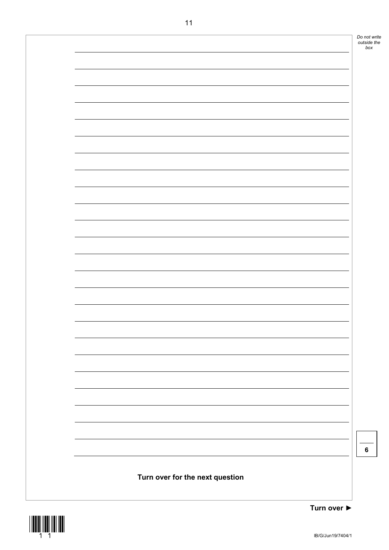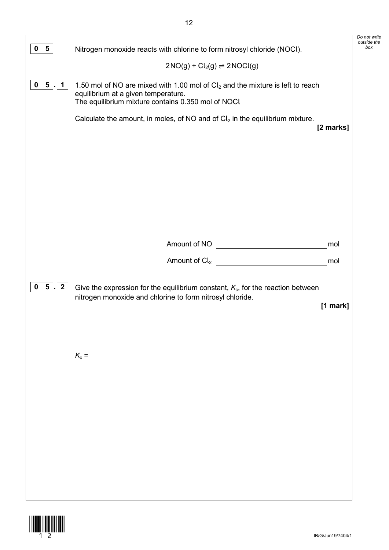|                                 |                                                                                                                                                                               | Do not write<br>outside the |
|---------------------------------|-------------------------------------------------------------------------------------------------------------------------------------------------------------------------------|-----------------------------|
| $5\overline{)}$<br>U            | Nitrogen monoxide reacts with chlorine to form nitrosyl chloride (NOCl).                                                                                                      | box                         |
|                                 | $2NO(g) + Cl2(g) \rightleftharpoons 2NOCl(g)$                                                                                                                                 |                             |
| $5$ .<br>$\mathbf 1$<br>0       | 1.50 mol of NO are mixed with 1.00 mol of $Cl2$ and the mixture is left to reach<br>equilibrium at a given temperature.<br>The equilibrium mixture contains 0.350 mol of NOCI |                             |
|                                 | Calculate the amount, in moles, of NO and of $Cl2$ in the equilibrium mixture.<br>[2 marks]                                                                                   |                             |
|                                 |                                                                                                                                                                               |                             |
|                                 |                                                                                                                                                                               |                             |
|                                 |                                                                                                                                                                               |                             |
|                                 |                                                                                                                                                                               |                             |
|                                 | Amount of NO<br>mol                                                                                                                                                           |                             |
|                                 | Amount of $Cl2$<br>mol                                                                                                                                                        |                             |
| $\mathbf{2}$<br>$5\overline{)}$ | Give the expression for the equilibrium constant, $K_c$ , for the reaction between<br>nitrogen monoxide and chlorine to form nitrosyl chloride.<br>$[1$ mark]                 |                             |
|                                 | $K_c =$                                                                                                                                                                       |                             |
|                                 |                                                                                                                                                                               |                             |
|                                 |                                                                                                                                                                               |                             |
|                                 |                                                                                                                                                                               |                             |
|                                 |                                                                                                                                                                               |                             |
|                                 |                                                                                                                                                                               |                             |
|                                 |                                                                                                                                                                               |                             |
|                                 |                                                                                                                                                                               |                             |

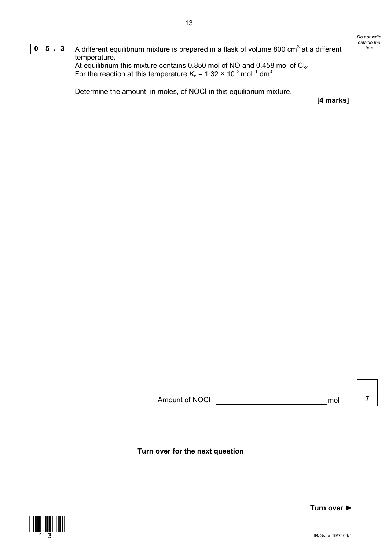*Do not write outside the*  **0**  $\boxed{5}$  **.**  $\boxed{3}$  A different equilibrium mixture is prepared in a flask of volume 800 cm<sup>3</sup> at a different temperature. At equilibrium this mixture contains 0.850 mol of NO and 0.458 mol of  $\mathsf{Cl}_2$ For the reaction at this temperature  $K_c$  = 1.32  $\times$  10<sup>-2</sup> mol<sup>-1</sup> dm<sup>3</sup> Determine the amount, in moles, of NOCl in this equilibrium mixture. **[4 marks]**

Amount of NOCl mol

**7**

**Turn over for the next question**



**Turn over ►**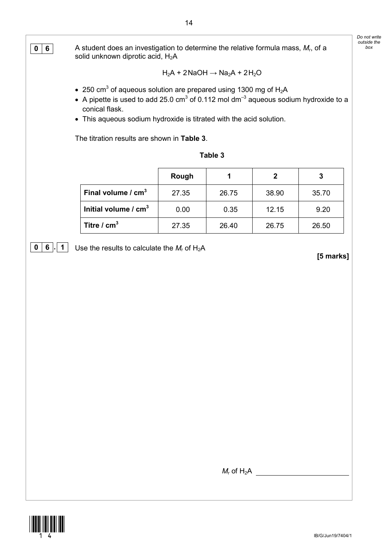| $0 \mid 6$ | A student does an investigation to determine the relative formula mass, $M_r$ , of a<br>solid unknown diprotic acid, H <sub>2</sub> A                                                                                                                                                                                                 |       |                                          |                           |                   | Do not write<br>outside the<br>box |
|------------|---------------------------------------------------------------------------------------------------------------------------------------------------------------------------------------------------------------------------------------------------------------------------------------------------------------------------------------|-------|------------------------------------------|---------------------------|-------------------|------------------------------------|
|            |                                                                                                                                                                                                                                                                                                                                       |       | $H_2A + 2NaOH \rightarrow Na_2A + 2H_2O$ |                           |                   |                                    |
|            | • 250 cm <sup>3</sup> of aqueous solution are prepared using 1300 mg of $H_2A$<br>• A pipette is used to add 25.0 cm <sup>3</sup> of 0.112 mol dm <sup>-3</sup> aqueous sodium hydroxide to a<br>conical flask.<br>• This aqueous sodium hydroxide is titrated with the acid solution.<br>The titration results are shown in Table 3. |       |                                          |                           |                   |                                    |
|            |                                                                                                                                                                                                                                                                                                                                       |       | Table 3                                  |                           |                   |                                    |
|            |                                                                                                                                                                                                                                                                                                                                       | Rough | 1                                        | $\mathbf{2}$              | $\mathbf 3$       |                                    |
|            | Final volume $/$ cm <sup>3</sup>                                                                                                                                                                                                                                                                                                      | 27.35 | 26.75                                    | 38.90                     | 35.70             |                                    |
|            | Initial volume $/$ cm <sup>3</sup>                                                                                                                                                                                                                                                                                                    | 0.00  | 0.35                                     | 12.15                     | 9.20              |                                    |
|            | Titre / $cm3$                                                                                                                                                                                                                                                                                                                         | 27.35 | 26.40                                    | 26.75                     | 26.50             |                                    |
|            |                                                                                                                                                                                                                                                                                                                                       |       |                                          |                           |                   |                                    |
|            |                                                                                                                                                                                                                                                                                                                                       |       |                                          | $M_r$ of H <sub>2</sub> A |                   |                                    |
|            |                                                                                                                                                                                                                                                                                                                                       |       |                                          |                           | IB/G/Jun19/7404/1 |                                    |

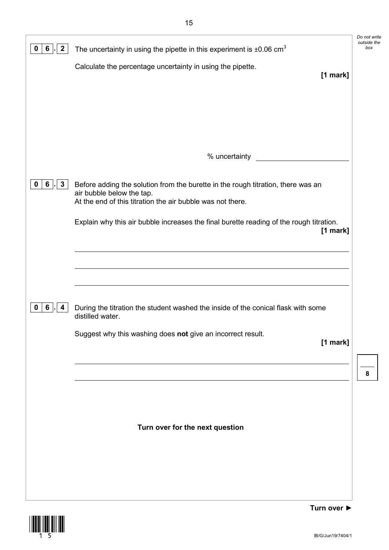| $\mathbf{2}$<br>0<br>6                        | The uncertainty in using the pipette in this experiment is $\pm 0.06$ cm <sup>3</sup>                                                                                       | Do not write<br>outside the<br>box |
|-----------------------------------------------|-----------------------------------------------------------------------------------------------------------------------------------------------------------------------------|------------------------------------|
|                                               | Calculate the percentage uncertainty in using the pipette.<br>[1 mark]                                                                                                      |                                    |
|                                               |                                                                                                                                                                             |                                    |
|                                               |                                                                                                                                                                             |                                    |
|                                               |                                                                                                                                                                             |                                    |
|                                               |                                                                                                                                                                             |                                    |
|                                               | % uncertainty                                                                                                                                                               |                                    |
| 6 <sup>1</sup><br>$\mathbf{3}$<br>$\mathbf 0$ | Before adding the solution from the burette in the rough titration, there was an<br>air bubble below the tap.<br>At the end of this titration the air bubble was not there. |                                    |
|                                               | Explain why this air bubble increases the final burette reading of the rough titration.<br>$[1$ mark]                                                                       |                                    |
|                                               |                                                                                                                                                                             |                                    |
|                                               |                                                                                                                                                                             |                                    |
| $6\overline{6}$<br>0<br>4                     | During the titration the student washed the inside of the conical flask with some<br>distilled water.                                                                       |                                    |
|                                               | Suggest why this washing does not give an incorrect result.<br>$[1$ mark]                                                                                                   |                                    |
|                                               |                                                                                                                                                                             | 8                                  |
|                                               |                                                                                                                                                                             |                                    |
|                                               |                                                                                                                                                                             |                                    |
|                                               | Turn over for the next question                                                                                                                                             |                                    |
|                                               |                                                                                                                                                                             |                                    |
|                                               |                                                                                                                                                                             |                                    |
|                                               |                                                                                                                                                                             |                                    |

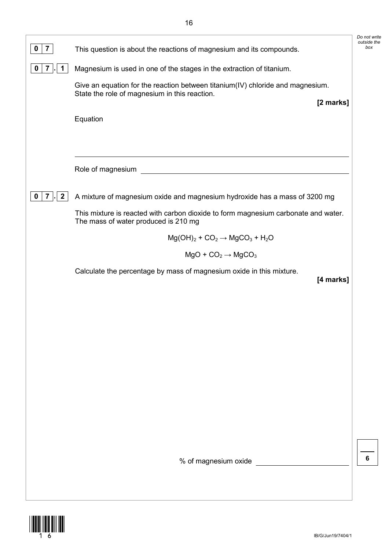| 0<br>7                              | This question is about the reactions of magnesium and its compounds.                                                                         | outside<br>bo) |
|-------------------------------------|----------------------------------------------------------------------------------------------------------------------------------------------|----------------|
| 0<br>$\mathbf{7}$<br>$\mathbf 1$    | Magnesium is used in one of the stages in the extraction of titanium.                                                                        |                |
|                                     | Give an equation for the reaction between titanium(IV) chloride and magnesium.<br>State the role of magnesium in this reaction.<br>[2 marks] |                |
|                                     | Equation                                                                                                                                     |                |
|                                     | Role of magnesium                                                                                                                            |                |
| $\overline{2}$<br>0<br>$\mathbf{7}$ | A mixture of magnesium oxide and magnesium hydroxide has a mass of 3200 mg                                                                   |                |
|                                     | This mixture is reacted with carbon dioxide to form magnesium carbonate and water.<br>The mass of water produced is 210 mg                   |                |
|                                     | $Mg(OH)2 + CO2 \rightarrow MgCO3 + H2O$                                                                                                      |                |
|                                     | $MgO + CO2 \rightarrow MgCO3$                                                                                                                |                |
|                                     | Calculate the percentage by mass of magnesium oxide in this mixture.<br>[4 marks]                                                            |                |
|                                     |                                                                                                                                              |                |
|                                     |                                                                                                                                              |                |
|                                     |                                                                                                                                              |                |
|                                     |                                                                                                                                              |                |
|                                     |                                                                                                                                              |                |
|                                     |                                                                                                                                              |                |
|                                     |                                                                                                                                              |                |
|                                     | % of magnesium oxide                                                                                                                         | 6              |
|                                     |                                                                                                                                              |                |



*Do not write outside the*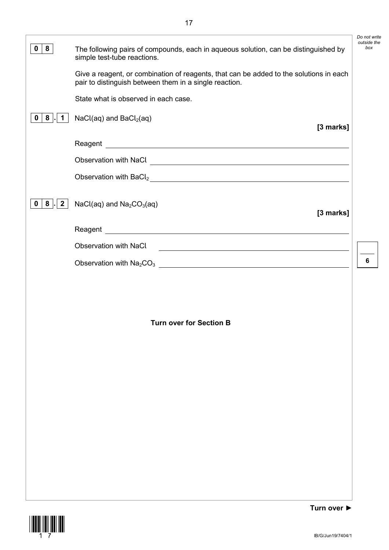|                                                |                                                                                                                                                  | Do not write       |
|------------------------------------------------|--------------------------------------------------------------------------------------------------------------------------------------------------|--------------------|
| 8<br>$\mathbf 0$                               | The following pairs of compounds, each in aqueous solution, can be distinguished by<br>simple test-tube reactions.                               | outside the<br>box |
|                                                | Give a reagent, or combination of reagents, that can be added to the solutions in each<br>pair to distinguish between them in a single reaction. |                    |
|                                                | State what is observed in each case.                                                                                                             |                    |
| 8<br>0<br>1.                                   | $NaCl(aq)$ and $BaCl2(aq)$<br>[3 marks]                                                                                                          |                    |
|                                                |                                                                                                                                                  |                    |
|                                                |                                                                                                                                                  |                    |
|                                                | Observation with BaCl <sub>2</sub>                                                                                                               |                    |
| 8 <sup>1</sup><br>$\mathbf{2}$<br>$\mathbf{0}$ | $NaCl(aq)$ and $Na2CO3(aq)$<br>[3 marks]                                                                                                         |                    |
|                                                |                                                                                                                                                  |                    |
|                                                | <b>Observation with NaCl</b><br><u> 1980 - Johann Barbara, martxa alemaniar amerikan basar da a</u>                                              |                    |
|                                                |                                                                                                                                                  | 6                  |
|                                                | <b>Turn over for Section B</b>                                                                                                                   |                    |
|                                                |                                                                                                                                                  |                    |

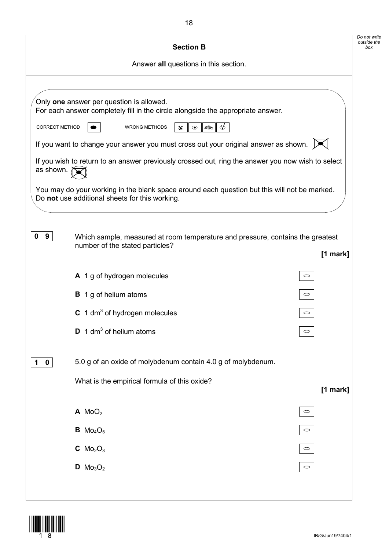|                      | <b>Section B</b>                                                                                                                               |                     |
|----------------------|------------------------------------------------------------------------------------------------------------------------------------------------|---------------------|
|                      | Answer all questions in this section.                                                                                                          |                     |
|                      |                                                                                                                                                |                     |
|                      | Only one answer per question is allowed.<br>For each answer completely fill in the circle alongside the appropriate answer.                    |                     |
| CORRECT METHOD       | <b>WRONG METHODS</b><br>$\circledcirc$<br>$\Rightarrow$<br>$\infty$                                                                            |                     |
|                      | If you want to change your answer you must cross out your original answer as shown. $\triangleright$                                           |                     |
| as shown. $\partial$ | If you wish to return to an answer previously crossed out, ring the answer you now wish to select                                              |                     |
|                      | You may do your working in the blank space around each question but this will not be marked.<br>Do not use additional sheets for this working. |                     |
| 9<br>0               | Which sample, measured at room temperature and pressure, contains the greatest<br>number of the stated particles?                              | [1 mark]            |
|                      | A 1 g of hydrogen molecules                                                                                                                    | $\circ$             |
|                      | <b>B</b> 1 g of helium atoms                                                                                                                   | $\circ$             |
|                      | C 1 dm <sup>3</sup> of hydrogen molecules                                                                                                      |                     |
|                      | $\mathbf{D}$ 1 dm <sup>3</sup> of helium atoms                                                                                                 |                     |
| $\mathbf 0$<br>1     | 5.0 g of an oxide of molybdenum contain 4.0 g of molybdenum.                                                                                   |                     |
|                      | What is the empirical formula of this oxide?                                                                                                   | [1 mark]            |
|                      | A MO <sub>2</sub>                                                                                                                              | $\circlearrowright$ |
|                      | <b>B</b> $Mo_4O_5$                                                                                                                             | $\circlearrowright$ |
|                      |                                                                                                                                                |                     |
|                      | $C$ Mo <sub>2</sub> O <sub>3</sub>                                                                                                             | $\circ$             |

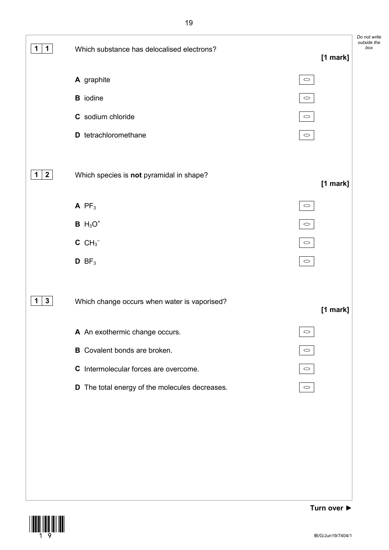

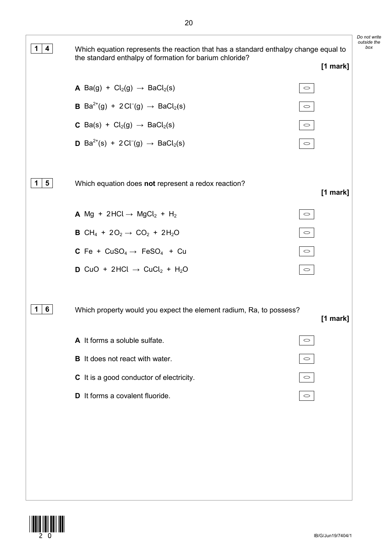

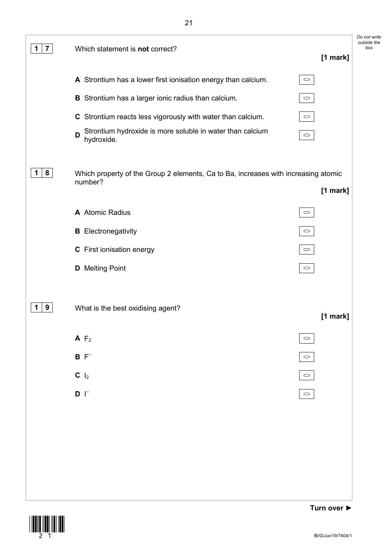

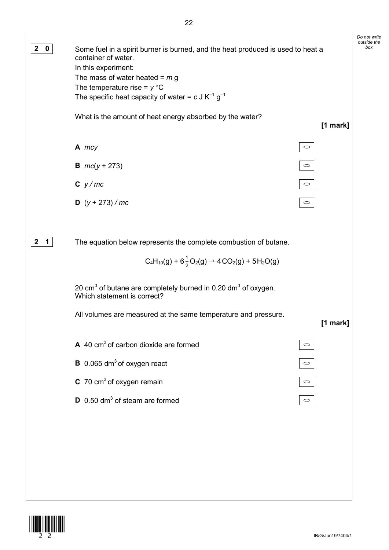*Do not write outside the*  **2 0** Some fuel in a spirit burner is burned, and the heat produced is used to heat a container of water. In this experiment: The mass of water heated = *m* g The temperature rise = *y* °C The specific heat capacity of water =  $c$  J K<sup>-1</sup> g<sup>-1</sup> What is the amount of heat energy absorbed by the water? **[1 mark]**  $\circ$ **A** *mcy* **B** *mc*(*y* + 273)  $\circ$ **C** *y / mc*  $\circ$ **D** (*y* + 273) */ mc*  $\circ$ **2 1** The equation below represents the complete combustion of butane.  $C_4H_{10}(g) + 6\frac{1}{2}O_2(g) \rightarrow 4CO_2(g) + 5H_2O(g)$ 20  $\text{cm}^3$  of butane are completely burned in 0.20 dm<sup>3</sup> of oxygen. Which statement is correct? All volumes are measured at the same temperature and pressure. **[1 mark] A** 40 cm3 of carbon dioxide are formed  $\circlearrowright$ **B** 0.065 dm<sup>3</sup> of oxygen react  $\circ$ **C** 70 cm<sup>3</sup> of oxygen remain  $\circ$ **D** 0.50 dm<sup>3</sup> of steam are formed  $\circ$ 

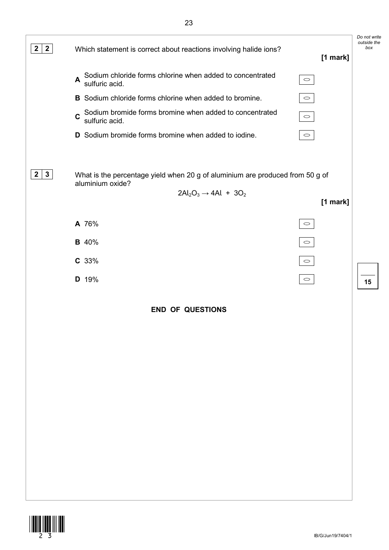